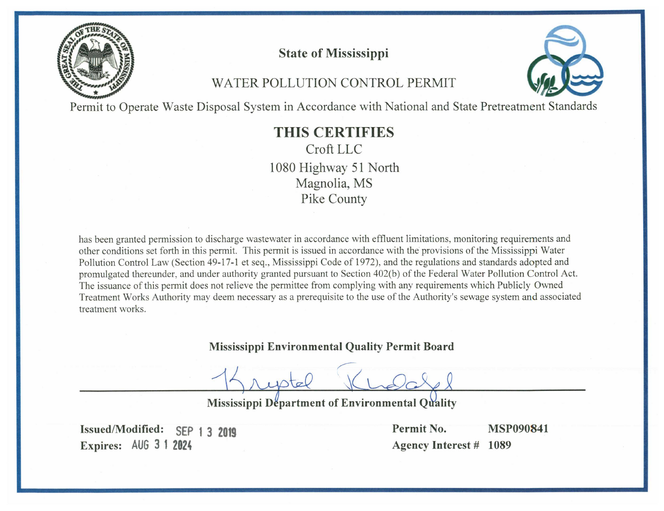

**State of Mississippi** 

# WATER POLLUTION CONTROL PERMIT



Permit to Operate Waste Disposal System in Accordance with National and State Pretreatment Standards

# **THIS CERTIFIES** Croft LLC 1080 Highway 51 North

Magnolia, MS Pike County

has been granted permission to discharge wastewater in accordance with effluent limitations, monitoring requirements and other conditions set forth in this permit. This permit is issued in accordance with the provisions of the Mississippi Water Pollution Control Law (Section 49-17-1 et seq., Mississippi Code of 1972), and the regulations and standards adopted and promulgated thereunder, and under authority granted pursuant to Section 402(b) of the Federal Water Pollution Control Act. The issuance of this permit does not relieve the permittee from complying with any requirements which Publicly Owned Treatment Works Authority may deem necessary as a prerequisite to the use of the Authority's sewage system and associated treatment works.

**Mississippi Environmental Quality Permit Board** 

Mississippi Department of Environmental Quality

Issued/Modified: SEP 1 3 2019 Expires: AUG 3 1 2024

Permit No. **MSP090841 Agency Interest # 1089**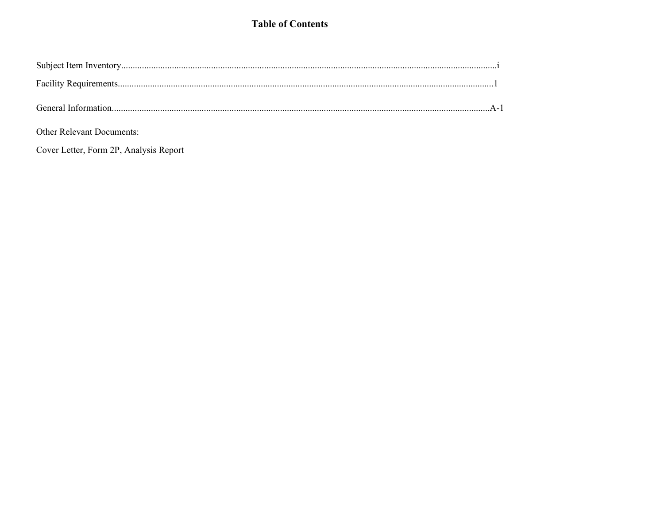# **Table of Contents**

Other Relevant Documents:

Cover Letter, Form 2P, Analysis Report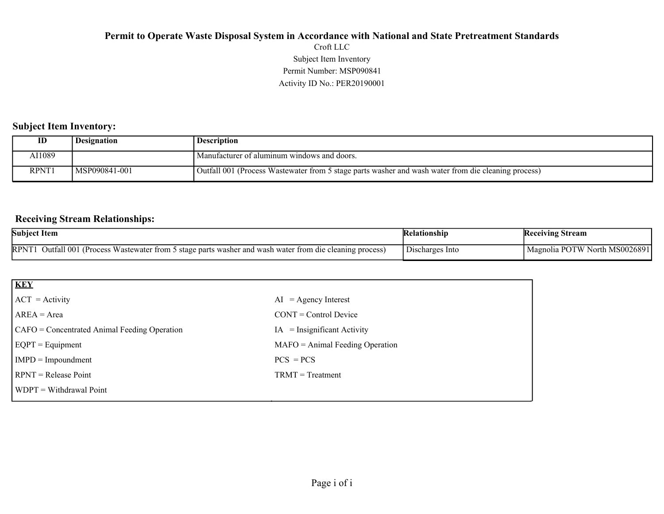# Activity ID No.: PER20190001 Permit Number: MSP090841 Subject Item Inventory Croft LLC **Permit to Operate Waste Disposal System in Accordance with National and State Pretreatment Standards**

### **Subject Item Inventory:**

| ID           | <b>Designation</b> | <b>Description</b>                                                                                   |
|--------------|--------------------|------------------------------------------------------------------------------------------------------|
| 11089\       |                    | Manufacturer of aluminum windows and doors.                                                          |
| <b>RPNT1</b> | MSP090841-001      | (Outfall 001 (Process Wastewater from 5 stage parts washer and wash water from die cleaning process) |

### **Receiving Stream Relationships:**

| <b>Subject Item</b>                                                                                                                  | Kelationshin                                | <b>Receiving Stream</b>                    |
|--------------------------------------------------------------------------------------------------------------------------------------|---------------------------------------------|--------------------------------------------|
| <b>RPNT</b><br>Outfall 001<br>Wastewater from 5<br>to stage parts washer and wash water from die cleaning process)<br><b>Process</b> | $\overline{\phantom{a}}$<br>Discharges Into | North MS0026891 "<br>DC<br>TW.<br>Magnolia |

| <b>KEY</b>                                   |                                      |
|----------------------------------------------|--------------------------------------|
| $ ACT = Activity$                            | $AI = Agency Interest$               |
| $AREA = Area$                                | $CONT = Control$ Device              |
| CAFO = Concentrated Animal Feeding Operation | $IA = \text{Insignificant Activity}$ |
| $EQPT = Equipment$                           | $MAFO = Animal Feeding Operation$    |
| $IMPD = Important$                           | $PCS = PCs$                          |
| $RPNT = Release Point$                       | $TRMT = Treatment$                   |
| <b>WDPT</b> = Withdrawal Point               |                                      |
|                                              |                                      |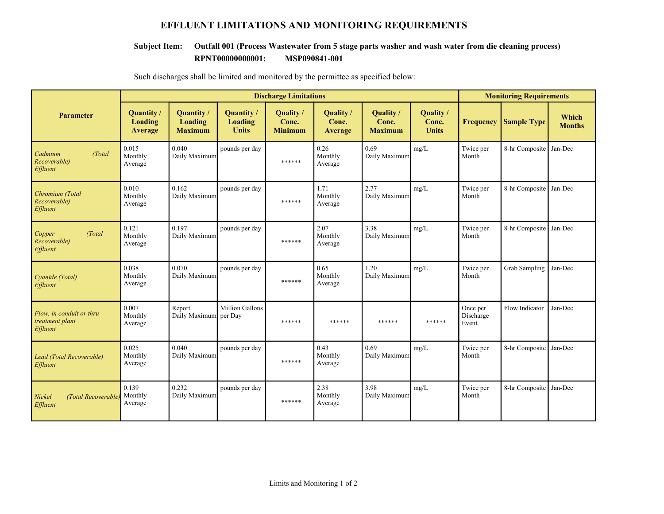# **EFFLUENT LIMITATIONS AND MONITORING REQUIREMENTS**

### **RPNT00000000001: MSP090841-001 Subject Item: Outfall 001 (Process Wastewater from 5 stage parts washer and wash water from die cleaning process)**

|                                                         |                                 | <b>Discharge Limitations</b>            |                                       |                                      |                               |                                      |                                    | <b>Monitoring Requirements</b> |                    |                        |  |
|---------------------------------------------------------|---------------------------------|-----------------------------------------|---------------------------------------|--------------------------------------|-------------------------------|--------------------------------------|------------------------------------|--------------------------------|--------------------|------------------------|--|
| <b>Parameter</b>                                        | Quantity/<br>Loading<br>Average | Quantity /<br>Loading<br><b>Maximum</b> | Quantity /<br>Loading<br><b>Units</b> | Quality /<br>Conc.<br><b>Minimum</b> | Quality /<br>Conc.<br>Average | Quality /<br>Conc.<br><b>Maximum</b> | Quality /<br>Conc.<br><b>Units</b> | <b>Frequency</b>               | <b>Sample Type</b> | Which<br><b>Months</b> |  |
| Cadmium<br>(Total)<br>Recoverable)<br>Effluent          | 0.015<br>Monthly<br>Average     | 0.040<br>Daily Maximum                  | pounds per day                        | ******                               | 0.26<br>Monthly<br>Average    | 0.69<br>Daily Maximum                | mg/L                               | Twice per<br>Month             | 8-hr Composite     | Jan-Dec                |  |
| Chromium (Total<br>Recoverable)<br>Effluent             | 0.010<br>Monthly<br>Average     | 0.162<br>Daily Maximum                  | pounds per day                        | ******                               | 1.71<br>Monthly<br>Average    | 2.77<br>Daily Maximum                | mg/L                               | Twice per<br>Month             | 8-hr Composite     | Jan-Dec                |  |
| Copper<br>(Total)<br>Recoverable)<br>Effluent           | 0.121<br>Monthly<br>Average     | 0.197<br>Daily Maximum                  | pounds per day                        | ******                               | 2.07<br>Monthly<br>Average    | 3.38<br>Daily Maximum                | mg/L                               | Twice per<br>Month             | 8-hr Composite     | Jan-Dec                |  |
| Cvanide (Total)<br>Effluent                             | 0.038<br>Monthly<br>Average     | 0.070<br>Daily Maximum                  | pounds per day                        | ******                               | 0.65<br>Monthly<br>Average    | 1.20<br>Daily Maximum                | mg/L                               | Twice per<br>Month             | Grab Sampling      | Jan-Dec                |  |
| Flow, in conduit or thru<br>treatment plant<br>Effluent | 0.007<br>Monthly<br>Average     | Report<br>Daily Maximum per Day         | Million Gallons                       | ******                               | ******                        | ******                               | ******                             | Once per<br>Discharge<br>Event | Flow Indicator     | Jan-Dec                |  |
| Lead (Total Recoverable)<br>Effluent                    | 0.025<br>Monthly<br>Average     | 0.040<br>Daily Maximum                  | pounds per day                        | ******                               | 0.43<br>Monthly<br>Average    | 0.69<br>Daily Maximum                | mg/L                               | Twice per<br>Month             | 8-hr Composite     | Jan-Dec                |  |
| (Total Recoverable<br>Nickel<br>Effluent                | 0.139<br>Monthly<br>Average     | 0.232<br>Daily Maximum                  | pounds per day                        | ******                               | 2.38<br>Monthly<br>Average    | 3.98<br>Daily Maximum                | mg/L                               | Twice per<br>Month             | 8-hr Composite     | Jan-Dec                |  |

Such discharges shall be limited and monitored by the permittee as specified below: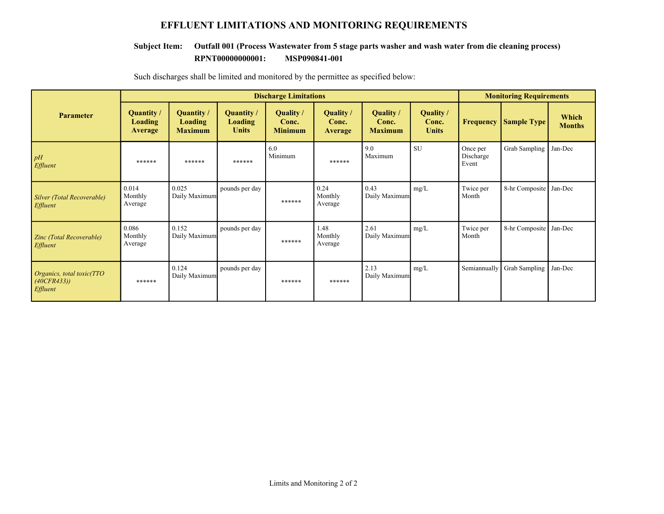# **EFFLUENT LIMITATIONS AND MONITORING REQUIREMENTS**

### **RPNT00000000001: MSP090841-001 Subject Item: Outfall 001 (Process Wastewater from 5 stage parts washer and wash water from die cleaning process)**

|                                                             |                                         | <b>Discharge Limitations</b>                          |                                                     |                                      |                                      |                                      |                                           |                                | <b>Monitoring Requirements</b> |                        |  |
|-------------------------------------------------------------|-----------------------------------------|-------------------------------------------------------|-----------------------------------------------------|--------------------------------------|--------------------------------------|--------------------------------------|-------------------------------------------|--------------------------------|--------------------------------|------------------------|--|
| <b>Parameter</b>                                            | Quantity /<br>Loading<br><b>Average</b> | <b>Quantity</b> /<br><b>Loading</b><br><b>Maximum</b> | <b>Quantity</b> /<br><b>Loading</b><br><b>Units</b> | Quality /<br>Conc.<br><b>Minimum</b> | Quality /<br>Conc.<br><b>Average</b> | Quality /<br>Conc.<br><b>Maximum</b> | <b>Quality</b> /<br>Conc.<br><b>Units</b> | <b>Frequency</b>               | <b>Sample Type</b>             | Which<br><b>Months</b> |  |
| pH<br>Effluent                                              | ******                                  | ******                                                | ******                                              | 6.0<br>Minimum                       | ******                               | 9.0<br>Maximum                       | <b>SU</b>                                 | Once per<br>Discharge<br>Event | Grab Sampling                  | Jan-Dec                |  |
| Silver (Total Recoverable)<br>Effluent                      | 0.014<br>Monthly<br>Average             | 0.025<br>Daily Maximum                                | pounds per day                                      | ******                               | 0.24<br>Monthly<br>Average           | 0.43<br>Daily Maximum                | mg/L                                      | Twice per<br>Month             | 8-hr Composite                 | Jan-Dec                |  |
| Zinc (Total Recoverable)<br>Effluent                        | 0.086<br>Monthly<br>Average             | 0.152<br>Daily Maximum                                | pounds per day                                      | ******                               | 1.48<br>Monthly<br>Average           | 2.61<br>Daily Maximum                | mg/L                                      | Twice per<br>Month             | 8-hr Composite                 | Jan-Dec                |  |
| Organics, total toxic(TTO<br>(40CFR433))<br><i>Effluent</i> | ******                                  | 0.124<br>Daily Maximum                                | pounds per day                                      | ******                               | ******                               | 2.13<br>Daily Maximum                | mg/L                                      | Semiannually                   | Grab Sampling                  | Jan-Dec                |  |

Such discharges shall be limited and monitored by the permittee as specified below: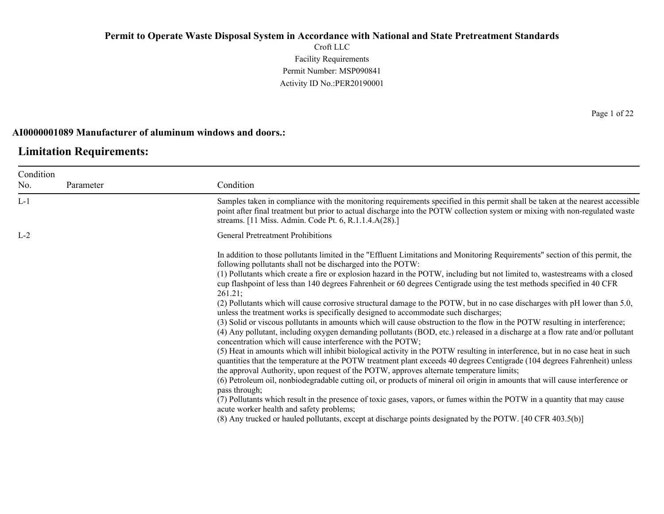Croft LLC Facility Requirements Permit Number: MSP090841 Activity ID No.:PER20190001

### **AI0000001089 Manufacturer of aluminum windows and doors.:**

# **Limitation Requirements:**

| Condition |           |                                                                                                                                                                                                                                                                                                                                                                                                                                                                                                                                                                                                                                                                                                                                                                                                                                                                                                                                                                                                                                                                                                                                                                                                                                                                                                                                                                                                                                                                                                                                                                                                                                                                                                         |
|-----------|-----------|---------------------------------------------------------------------------------------------------------------------------------------------------------------------------------------------------------------------------------------------------------------------------------------------------------------------------------------------------------------------------------------------------------------------------------------------------------------------------------------------------------------------------------------------------------------------------------------------------------------------------------------------------------------------------------------------------------------------------------------------------------------------------------------------------------------------------------------------------------------------------------------------------------------------------------------------------------------------------------------------------------------------------------------------------------------------------------------------------------------------------------------------------------------------------------------------------------------------------------------------------------------------------------------------------------------------------------------------------------------------------------------------------------------------------------------------------------------------------------------------------------------------------------------------------------------------------------------------------------------------------------------------------------------------------------------------------------|
| No.       | Parameter | Condition                                                                                                                                                                                                                                                                                                                                                                                                                                                                                                                                                                                                                                                                                                                                                                                                                                                                                                                                                                                                                                                                                                                                                                                                                                                                                                                                                                                                                                                                                                                                                                                                                                                                                               |
| $L-1$     |           | Samples taken in compliance with the monitoring requirements specified in this permit shall be taken at the nearest accessible<br>point after final treatment but prior to actual discharge into the POTW collection system or mixing with non-regulated waste<br>streams. [11 Miss. Admin. Code Pt. 6, R.1.1.4.A(28).]                                                                                                                                                                                                                                                                                                                                                                                                                                                                                                                                                                                                                                                                                                                                                                                                                                                                                                                                                                                                                                                                                                                                                                                                                                                                                                                                                                                 |
| $L-2$     |           | <b>General Pretreatment Prohibitions</b>                                                                                                                                                                                                                                                                                                                                                                                                                                                                                                                                                                                                                                                                                                                                                                                                                                                                                                                                                                                                                                                                                                                                                                                                                                                                                                                                                                                                                                                                                                                                                                                                                                                                |
|           |           | In addition to those pollutants limited in the "Effluent Limitations and Monitoring Requirements" section of this permit, the<br>following pollutants shall not be discharged into the POTW:<br>(1) Pollutants which create a fire or explosion hazard in the POTW, including but not limited to, wastestreams with a closed<br>cup flashpoint of less than 140 degrees Fahrenheit or 60 degrees Centigrade using the test methods specified in 40 CFR<br>261.21;<br>(2) Pollutants which will cause corrosive structural damage to the POTW, but in no case discharges with pH lower than 5.0,<br>unless the treatment works is specifically designed to accommodate such discharges;<br>(3) Solid or viscous pollutants in amounts which will cause obstruction to the flow in the POTW resulting in interference;<br>(4) Any pollutant, including oxygen demanding pollutants (BOD, etc.) released in a discharge at a flow rate and/or pollutant<br>concentration which will cause interference with the POTW;<br>(5) Heat in amounts which will inhibit biological activity in the POTW resulting in interference, but in no case heat in such<br>quantities that the temperature at the POTW treatment plant exceeds 40 degrees Centigrade (104 degrees Fahrenheit) unless<br>the approval Authority, upon request of the POTW, approves alternate temperature limits;<br>(6) Petroleum oil, nonbiodegradable cutting oil, or products of mineral oil origin in amounts that will cause interference or<br>pass through;<br>(7) Pollutants which result in the presence of toxic gases, vapors, or fumes within the POTW in a quantity that may cause<br>acute worker health and safety problems; |
|           |           | (8) Any trucked or hauled pollutants, except at discharge points designated by the POTW. [40 CFR 403.5(b)]                                                                                                                                                                                                                                                                                                                                                                                                                                                                                                                                                                                                                                                                                                                                                                                                                                                                                                                                                                                                                                                                                                                                                                                                                                                                                                                                                                                                                                                                                                                                                                                              |
|           |           |                                                                                                                                                                                                                                                                                                                                                                                                                                                                                                                                                                                                                                                                                                                                                                                                                                                                                                                                                                                                                                                                                                                                                                                                                                                                                                                                                                                                                                                                                                                                                                                                                                                                                                         |

Page 1 of 22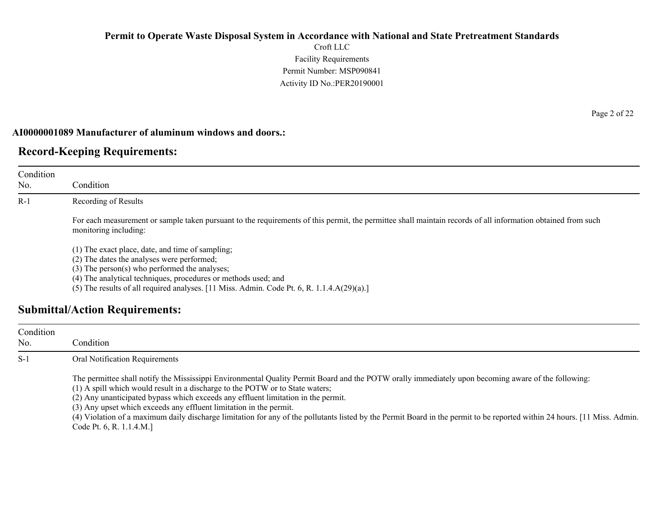Croft LLC Facility Requirements Permit Number: MSP090841 Activity ID No.:PER20190001

### **AI0000001089 Manufacturer of aluminum windows and doors.:**

# **Record-Keeping Requirements:**

| Condition<br>No. | Condition                                                                                                                                                                                                                                                                                                               |
|------------------|-------------------------------------------------------------------------------------------------------------------------------------------------------------------------------------------------------------------------------------------------------------------------------------------------------------------------|
| $R-1$            | Recording of Results                                                                                                                                                                                                                                                                                                    |
|                  | For each measurement or sample taken pursuant to the requirements of this permit, the permittee shall maintain records of all information obtained from such<br>monitoring including:                                                                                                                                   |
|                  | (1) The exact place, date, and time of sampling;<br>(2) The dates the analyses were performed;<br>$(3)$ The person $(s)$ who performed the analyses;<br>(4) The analytical techniques, procedures or methods used; and<br>(5) The results of all required analyses. [11 Miss. Admin. Code Pt. 6, R. $1.1.4.A(29)(a).$ ] |
|                  | <b>Submittal/Action Requirements:</b>                                                                                                                                                                                                                                                                                   |

| Condition<br>No. | Condition :                                                                                                                                                                                                                                                                                                                                                                                                                                                                                                                                                                                               |
|------------------|-----------------------------------------------------------------------------------------------------------------------------------------------------------------------------------------------------------------------------------------------------------------------------------------------------------------------------------------------------------------------------------------------------------------------------------------------------------------------------------------------------------------------------------------------------------------------------------------------------------|
| $S-1$            | Oral Notification Requirements                                                                                                                                                                                                                                                                                                                                                                                                                                                                                                                                                                            |
|                  | The permittee shall notify the Mississippi Environmental Quality Permit Board and the POTW orally immediately upon becoming aware of the following:<br>(1) A spill which would result in a discharge to the POTW or to State waters;<br>(2) Any unanticipated bypass which exceeds any effluent limitation in the permit.<br>(3) Any upset which exceeds any effluent limitation in the permit.<br>(4) Violation of a maximum daily discharge limitation for any of the pollutants listed by the Permit Board in the permit to be reported within 24 hours. [11 Miss. Admin.]<br>Code Pt. 6, R. 1.1.4.M.] |

Page 2 of 22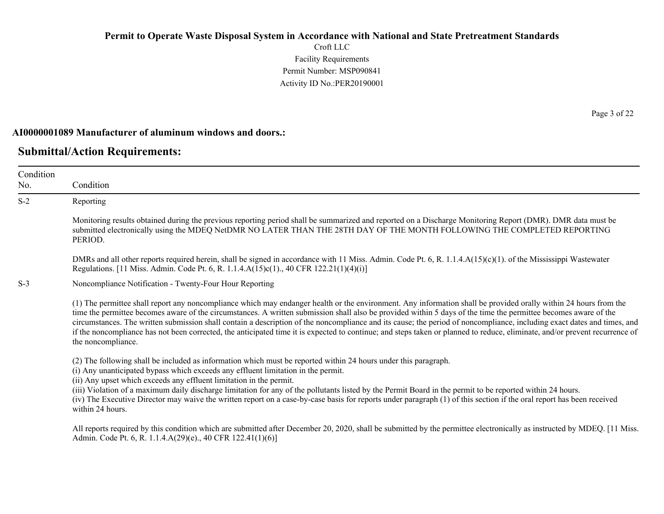Croft LLC Facility Requirements Permit Number: MSP090841 Activity ID No.:PER20190001

#### **AI0000001089 Manufacturer of aluminum windows and doors.:**

### **Submittal/Action Requirements:**

Condition No. Condition S-2 Reporting Monitoring results obtained during the previous reporting period shall be summarized and reported on a Discharge Monitoring Report (DMR). DMR data must be submitted electronically using the MDEQ NetDMR NO LATER THAN THE 28TH DAY OF THE MONTH FOLLOWING THE COMPLETED REPORTING PERIOD. DMRs and all other reports required herein, shall be signed in accordance with 11 Miss. Admin. Code Pt. 6, R. 1.1.4.A(15)(c)(1). of the Mississippi Wastewater Regulations. [11 Miss. Admin. Code Pt. 6, R. 1.1.4.A(15)c(1)., 40 CFR 122.21(1)(4)(i)] S-3 Noncompliance Notification - Twenty-Four Hour Reporting (1) The permittee shall report any noncompliance which may endanger health or the environment. Any information shall be provided orally within 24 hours from the time the permittee becomes aware of the circumstances. A written submission shall also be provided within 5 days of the time the permittee becomes aware of the circumstances. The written submission shall contain a description of the noncompliance and its cause; the period of noncompliance, including exact dates and times, and if the noncompliance has not been corrected, the anticipated time it is expected to continue; and steps taken or planned to reduce, eliminate, and/or prevent recurrence of the noncompliance. (2) The following shall be included as information which must be reported within 24 hours under this paragraph. (i) Any unanticipated bypass which exceeds any effluent limitation in the permit. (ii) Any upset which exceeds any effluent limitation in the permit. (iii) Violation of a maximum daily discharge limitation for any of the pollutants listed by the Permit Board in the permit to be reported within 24 hours. (iv) The Executive Director may waive the written report on a case-by-case basis for reports under paragraph (1) of this section if the oral report has been received within 24 hours. All reports required by this condition which are submitted after December 20, 2020, shall be submitted by the permittee electronically as instructed by MDEQ. [11 Miss.] Admin. Code Pt. 6, R. 1.1.4.A(29)(e)., 40 CFR 122.41(1)(6)]

Page 3 of 22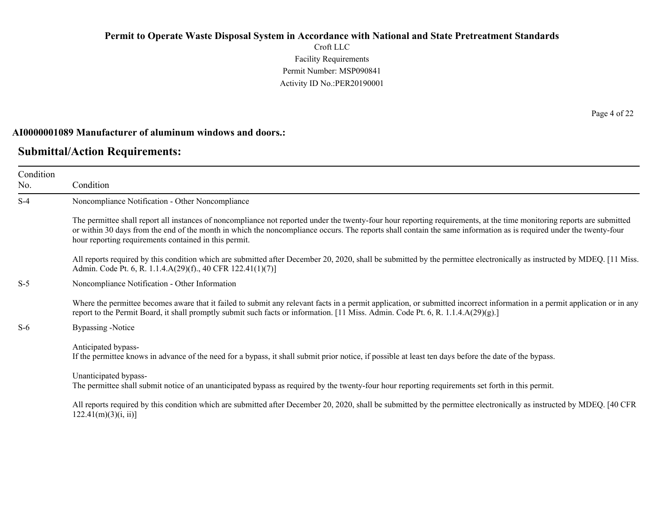Croft LLC Facility Requirements Permit Number: MSP090841 Activity ID No.:PER20190001

#### **AI0000001089 Manufacturer of aluminum windows and doors.:**

## **Submittal/Action Requirements:**

Condition No. Condition S-4 Noncompliance Notification - Other Noncompliance The permittee shall report all instances of noncompliance not reported under the twenty-four hour reporting requirements, at the time monitoring reports are submitted or within 30 days from the end of the month in which the noncompliance occurs. The reports shall contain the same information as is required under the twenty-four hour reporting requirements contained in this permit. All reports required by this condition which are submitted after December 20, 2020, shall be submitted by the permittee electronically as instructed by MDEQ. [11 Miss.] Admin. Code Pt. 6, R. 1.1.4.A(29)(f)., 40 CFR 122.41(1)(7)] S-5 Noncompliance Notification - Other Information Where the permittee becomes aware that it failed to submit any relevant facts in a permit application, or submitted incorrect information in a permit application or in any report to the Permit Board, it shall promptly submit such facts or information. [11 Miss. Admin. Code Pt. 6, R. 1.1.4.A(29)(g).] S-6 Bypassing -Notice Anticipated bypass-If the permittee knows in advance of the need for a bypass, it shall submit prior notice, if possible at least ten days before the date of the bypass. Unanticipated bypass-The permittee shall submit notice of an unanticipated bypass as required by the twenty-four hour reporting requirements set forth in this permit. All reports required by this condition which are submitted after December 20, 2020, shall be submitted by the permittee electronically as instructed by MDEQ. [40 CFR  $122.41(m)(3)(i, ii)$ ]

Page 4 of 22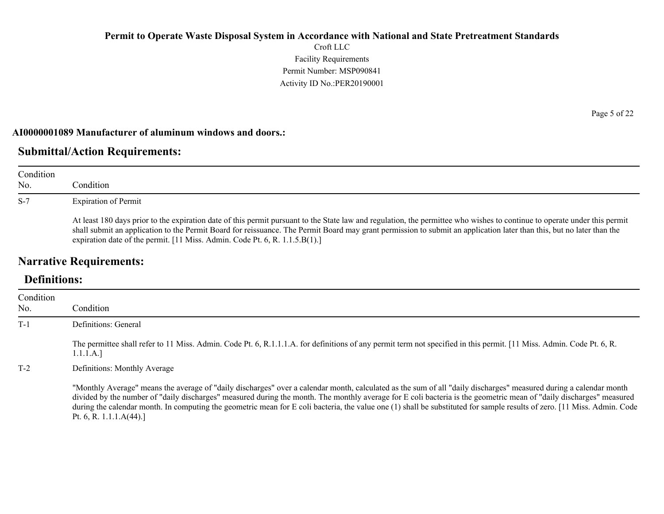Croft LLC Facility Requirements Permit Number: MSP090841 Activity ID No.:PER20190001

### **AI0000001089 Manufacturer of aluminum windows and doors.:**

# **Submittal/Action Requirements:**

| Condition<br>No. | Condition                                                                                                                                                                                                                                                                                                                                                                                                                         |
|------------------|-----------------------------------------------------------------------------------------------------------------------------------------------------------------------------------------------------------------------------------------------------------------------------------------------------------------------------------------------------------------------------------------------------------------------------------|
| $S-7$            | <b>Expiration of Permit</b>                                                                                                                                                                                                                                                                                                                                                                                                       |
|                  | At least 180 days prior to the expiration date of this permit pursuant to the State law and regulation, the permittee who wishes to continue to operate under this permit<br>shall submit an application to the Permit Board for reissuance. The Permit Board may grant permission to submit an application later than this, but no later than the<br>expiration date of the permit. [11 Miss. Admin. Code Pt. 6, R. 1.1.5.B(1).] |

# **Narrative Requirements:**

# **Definitions:**

| Condition |                                                                                                                                                                                                                                                                                                                                                                                                                                                                                                                                                     |
|-----------|-----------------------------------------------------------------------------------------------------------------------------------------------------------------------------------------------------------------------------------------------------------------------------------------------------------------------------------------------------------------------------------------------------------------------------------------------------------------------------------------------------------------------------------------------------|
| No.       | Condition                                                                                                                                                                                                                                                                                                                                                                                                                                                                                                                                           |
| $T-1$     | Definitions: General                                                                                                                                                                                                                                                                                                                                                                                                                                                                                                                                |
|           | The permittee shall refer to 11 Miss. Admin. Code Pt. 6, R.1.1.1.A. for definitions of any permit term not specified in this permit. [11 Miss. Admin. Code Pt. 6, R.<br>1.1.1.A.]                                                                                                                                                                                                                                                                                                                                                                   |
| $T-2$     | Definitions: Monthly Average                                                                                                                                                                                                                                                                                                                                                                                                                                                                                                                        |
|           | "Monthly Average" means the average of "daily discharges" over a calendar month, calculated as the sum of all "daily discharges" measured during a calendar month<br>divided by the number of "daily discharges" measured during the month. The monthly average for E coli bacteria is the geometric mean of "daily discharges" measured<br>during the calendar month. In computing the geometric mean for E coli bacteria, the value one (1) shall be substituted for sample results of zero. [11 Miss. Admin. Code<br>Pt. 6, R. 1.1.1. $A(44)$ .] |

Page 5 of 22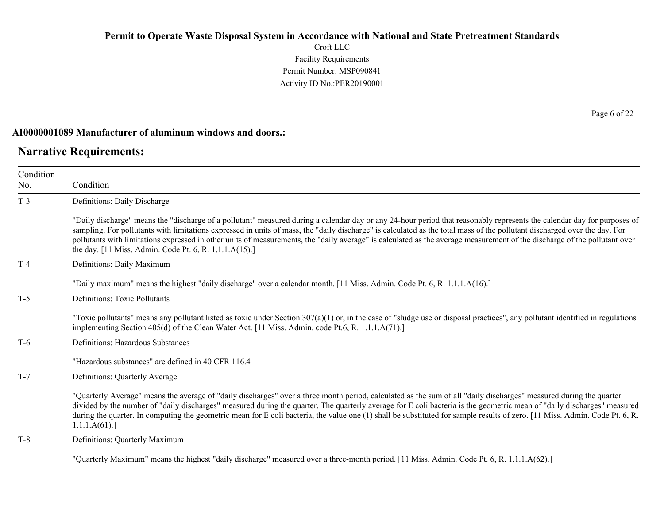Croft LLC Facility Requirements Permit Number: MSP090841 Activity ID No.:PER20190001

#### **AI0000001089 Manufacturer of aluminum windows and doors.:**

## **Narrative Requirements:**

Condition No. Condition T-3 Definitions: Daily Discharge "Daily discharge" means the "discharge of a pollutant" measured during a calendar day or any 24-hour period that reasonably represents the calendar day for purposes of sampling. For pollutants with limitations expressed in units of mass, the "daily discharge" is calculated as the total mass of the pollutant discharged over the day. For pollutants with limitations expressed in other units of measurements, the "daily average" is calculated as the average measurement of the discharge of the pollutant over the day. [11 Miss. Admin. Code Pt. 6, R. 1.1.1.A(15).] T-4 Definitions: Daily Maximum "Daily maximum" means the highest "daily discharge" over a calendar month. [11 Miss. Admin. Code Pt. 6, R. 1.1.1.A(16).] T-5 Definitions: Toxic Pollutants "Toxic pollutants" means any pollutant listed as toxic under Section  $307(a)(1)$  or, in the case of "sludge use or disposal practices", any pollutant identified in regulations implementing Section 405(d) of the Clean Water Act. [11 Miss. Admin. code Pt.6, R. 1.1.1.A(71).] T-6 Definitions: Hazardous Substances "Hazardous substances" are defined in 40 CFR 116.4 T-7 Definitions: Quarterly Average "Quarterly Average" means the average of "daily discharges" over a three month period, calculated as the sum of all "daily discharges" measured during the quarter divided by the number of "daily discharges" measured during the quarter. The quarterly average for E coli bacteria is the geometric mean of "daily discharges" measured during the quarter. In computing the geometric mean for E coli bacteria, the value one (1) shall be substituted for sample results of zero. [11 Miss. Admin. Code Pt. 6, R. 1.1.1.A(61).] T-8 Definitions: Quarterly Maximum

"Quarterly Maximum" means the highest "daily discharge" measured over a three-month period. [11 Miss. Admin. Code Pt. 6, R. 1.1.1.A(62).]

Page 6 of 22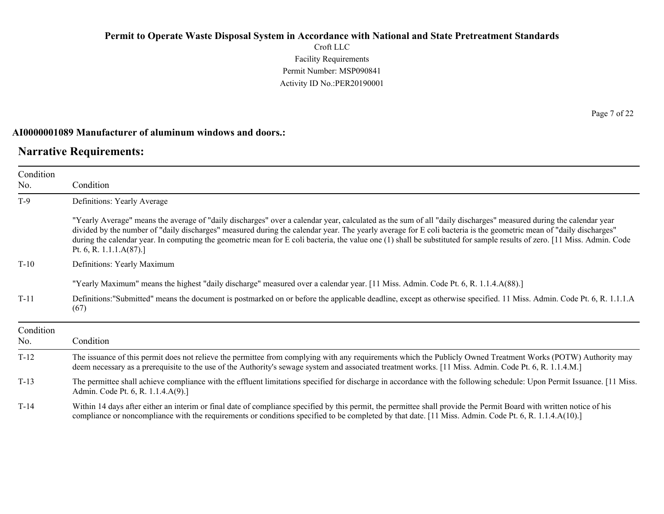Croft LLC Facility Requirements Permit Number: MSP090841 Activity ID No.:PER20190001

### **AI0000001089 Manufacturer of aluminum windows and doors.:**

# **Narrative Requirements:**

| Condition        |                                                                                                                                                                                                                                                                                                                                                                                                                                                                                                                                                 |
|------------------|-------------------------------------------------------------------------------------------------------------------------------------------------------------------------------------------------------------------------------------------------------------------------------------------------------------------------------------------------------------------------------------------------------------------------------------------------------------------------------------------------------------------------------------------------|
| No.              | Condition                                                                                                                                                                                                                                                                                                                                                                                                                                                                                                                                       |
| $T-9$            | Definitions: Yearly Average                                                                                                                                                                                                                                                                                                                                                                                                                                                                                                                     |
|                  | "Yearly Average" means the average of "daily discharges" over a calendar year, calculated as the sum of all "daily discharges" measured during the calendar year<br>divided by the number of "daily discharges" measured during the calendar year. The yearly average for E coli bacteria is the geometric mean of "daily discharges"<br>during the calendar year. In computing the geometric mean for E coli bacteria, the value one (1) shall be substituted for sample results of zero. [11 Miss. Admin. Code<br>Pt. 6, R. 1.1.1. $A(87)$ .] |
| $T-10$           | Definitions: Yearly Maximum                                                                                                                                                                                                                                                                                                                                                                                                                                                                                                                     |
|                  | "Yearly Maximum" means the highest "daily discharge" measured over a calendar year. [11 Miss. Admin. Code Pt. 6, R. 1.1.4.A(88).]                                                                                                                                                                                                                                                                                                                                                                                                               |
| $T-11$           | Definitions:"Submitted" means the document is postmarked on or before the applicable deadline, except as otherwise specified. 11 Miss. Admin. Code Pt. 6, R. 1.1.1.A<br>(67)                                                                                                                                                                                                                                                                                                                                                                    |
| Condition<br>No. | Condition                                                                                                                                                                                                                                                                                                                                                                                                                                                                                                                                       |
| $T-12$           | The issuance of this permit does not relieve the permittee from complying with any requirements which the Publicly Owned Treatment Works (POTW) Authority may<br>deem necessary as a prerequisite to the use of the Authority's sewage system and associated treatment works. [11 Miss. Admin. Code Pt. 6, R. 1.1.4.M.]                                                                                                                                                                                                                         |
| $T-13$           | The permittee shall achieve compliance with the effluent limitations specified for discharge in accordance with the following schedule: Upon Permit Issuance. [11 Miss.]<br>Admin. Code Pt. 6, R. 1.1.4.A(9).]                                                                                                                                                                                                                                                                                                                                  |
| $T-14$           | Within 14 days after either an interim or final date of compliance specified by this permit, the permittee shall provide the Permit Board with written notice of his<br>compliance or noncompliance with the requirements or conditions specified to be completed by that date. [11 Miss. Admin. Code Pt. 6, R. 1.1.4.A(10).]                                                                                                                                                                                                                   |

Page 7 of 22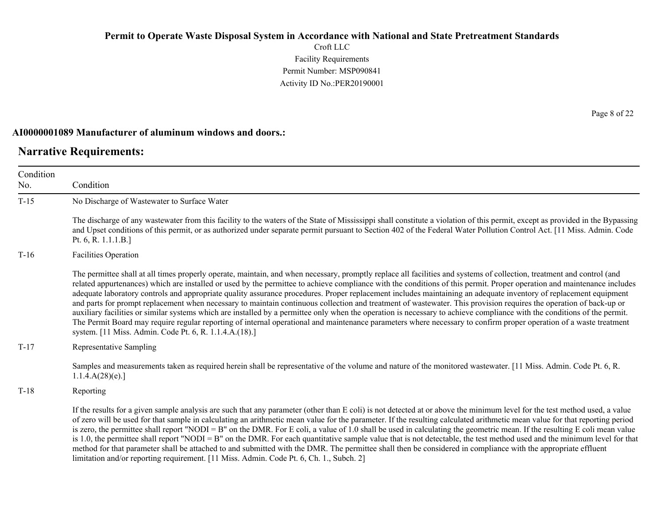Croft LLC Facility Requirements Permit Number: MSP090841 Activity ID No.:PER20190001

#### **AI0000001089 Manufacturer of aluminum windows and doors.:**

## **Narrative Requirements:**

Condition No. Condition T-15 No Discharge of Wastewater to Surface Water The discharge of any wastewater from this facility to the waters of the State of Mississippi shall constitute a violation of this permit, except as provided in the Bypassing and Upset conditions of this permit, or as authorized under separate permit pursuant to Section 402 of the Federal Water Pollution Control Act. [11 Miss. Admin. Code Pt. 6, R. 1.1.1.B.] T-16 Facilities Operation The permittee shall at all times properly operate, maintain, and when necessary, promptly replace all facilities and systems of collection, treatment and control (and related appurtenances) which are installed or used by the permittee to achieve compliance with the conditions of this permit. Proper operation and maintenance includes adequate laboratory controls and appropriate quality assurance procedures. Proper replacement includes maintaining an adequate inventory of replacement equipment and parts for prompt replacement when necessary to maintain continuous collection and treatment of wastewater. This provision requires the operation of back-up or auxiliary facilities or similar systems which are installed by a permittee only when the operation is necessary to achieve compliance with the conditions of the permit. The Permit Board may require regular reporting of internal operational and maintenance parameters where necessary to confirm proper operation of a waste treatment system. [11 Miss. Admin. Code Pt. 6, R. 1.1.4.A.(18).] T-17 Representative Sampling Samples and measurements taken as required herein shall be representative of the volume and nature of the monitored wastewater. [11 Miss. Admin. Code Pt. 6, R. 1.1.4.A(28)(e).] T-18 Reporting If the results for a given sample analysis are such that any parameter (other than E coli) is not detected at or above the minimum level for the test method used, a value of zero will be used for that sample in calculating an arithmetic mean value for the parameter. If the resulting calculated arithmetic mean value for that reporting period is zero, the permittee shall report "NODI = B" on the DMR. For E coli, a value of 1.0 shall be used in calculating the geometric mean. If the resulting E coli mean value is 1.0, the permittee shall report "NODI = B" on the DMR. For each quantitative sample value that is not detectable, the test method used and the minimum level for that method for that parameter shall be attached to and submitted with the DMR. The permittee shall then be considered in compliance with the appropriate effluent

limitation and/or reporting requirement. [11 Miss. Admin. Code Pt. 6, Ch. 1., Subch. 2]

Page 8 of 22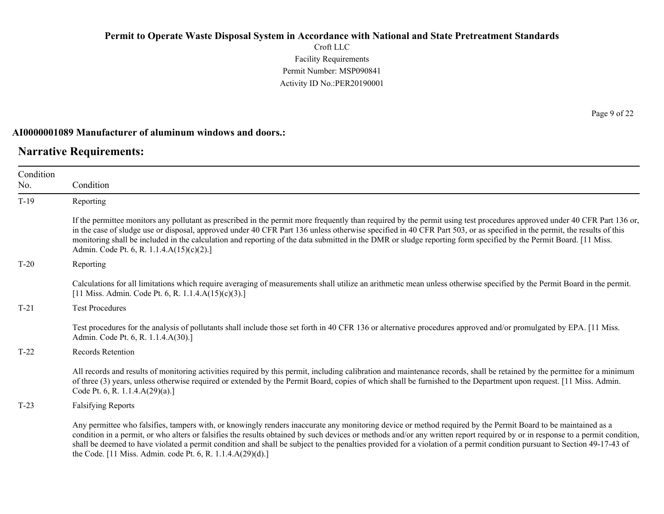Croft LLC Facility Requirements Permit Number: MSP090841 Activity ID No.:PER20190001

#### **AI0000001089 Manufacturer of aluminum windows and doors.:**

### **Narrative Requirements:**

Condition No. Condition T-19 Reporting If the permittee monitors any pollutant as prescribed in the permit more frequently than required by the permit using test procedures approved under 40 CFR Part 136 or, in the case of sludge use or disposal, approved under 40 CFR Part 136 unless otherwise specified in 40 CFR Part 503, or as specified in the permit, the results of this monitoring shall be included in the calculation and reporting of the data submitted in the DMR or sludge reporting form specified by the Permit Board. [11 Miss. Admin. Code Pt. 6, R. 1.1.4.A(15)(c)(2).] T-20 Reporting Calculations for all limitations which require averaging of measurements shall utilize an arithmetic mean unless otherwise specified by the Permit Board in the permit. [11 Miss. Admin. Code Pt. 6, R. 1.1.4.A(15)(c)(3).] T-21 Test Procedures Test procedures for the analysis of pollutants shall include those set forth in 40 CFR 136 or alternative procedures approved and/or promulgated by EPA. [11 Miss. Admin. Code Pt. 6, R. 1.1.4.A(30).] T-22 Records Retention All records and results of monitoring activities required by this permit, including calibration and maintenance records, shall be retained by the permittee for a minimum of three (3) years, unless otherwise required or extended by the Permit Board, copies of which shall be furnished to the Department upon request. [11 Miss. Admin. Code Pt. 6, R. 1.1.4.A(29)(a).] T-23 Falsifying Reports Any permittee who falsifies, tampers with, or knowingly renders inaccurate any monitoring device or method required by the Permit Board to be maintained as a condition in a permit, or who alters or falsifies the results obtained by such devices or methods and/or any written report required by or in response to a permit condition, shall be deemed to have violated a permit condition and shall be subject to the penalties provided for a violation of a permit condition pursuant to Section 49-17-43 of

the Code. [11 Miss. Admin. code Pt. 6, R. 1.1.4.A(29)(d).]

Page 9 of 22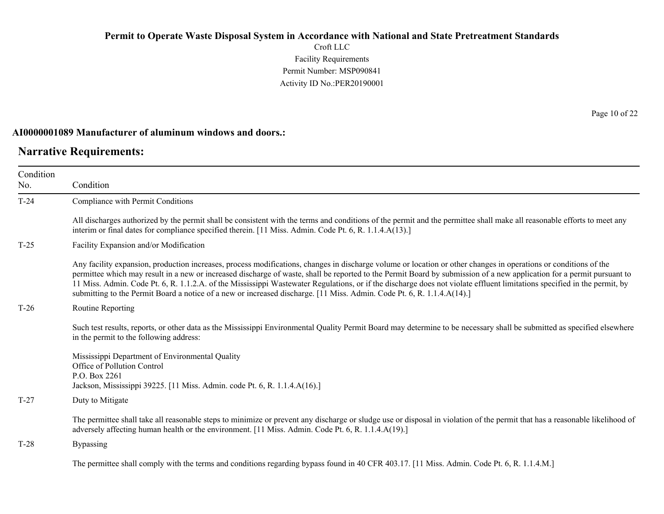Croft LLC Facility Requirements Permit Number: MSP090841 Activity ID No.:PER20190001

### **AI0000001089 Manufacturer of aluminum windows and doors.:**

# **Narrative Requirements:**

 $\overline{\phantom{0}}$ 

| Condition<br>No. | Condition                                                                                                                                                                                                                                                                                                                                                                                                                                                                                                                                                                                                                                        |
|------------------|--------------------------------------------------------------------------------------------------------------------------------------------------------------------------------------------------------------------------------------------------------------------------------------------------------------------------------------------------------------------------------------------------------------------------------------------------------------------------------------------------------------------------------------------------------------------------------------------------------------------------------------------------|
| $T-24$           | Compliance with Permit Conditions                                                                                                                                                                                                                                                                                                                                                                                                                                                                                                                                                                                                                |
|                  | All discharges authorized by the permit shall be consistent with the terms and conditions of the permit and the permittee shall make all reasonable efforts to meet any<br>interim or final dates for compliance specified therein. [11 Miss. Admin. Code Pt. 6, R. 1.1.4.A(13).]                                                                                                                                                                                                                                                                                                                                                                |
| $T-25$           | Facility Expansion and/or Modification                                                                                                                                                                                                                                                                                                                                                                                                                                                                                                                                                                                                           |
|                  | Any facility expansion, production increases, process modifications, changes in discharge volume or location or other changes in operations or conditions of the<br>permittee which may result in a new or increased discharge of waste, shall be reported to the Permit Board by submission of a new application for a permit pursuant to<br>11 Miss. Admin. Code Pt. 6, R. 1.1.2.A. of the Mississippi Wastewater Regulations, or if the discharge does not violate effluent limitations specified in the permit, by<br>submitting to the Permit Board a notice of a new or increased discharge. [11 Miss. Admin. Code Pt. 6, R. 1.1.4.A(14).] |
| $T-26$           | Routine Reporting                                                                                                                                                                                                                                                                                                                                                                                                                                                                                                                                                                                                                                |
|                  | Such test results, reports, or other data as the Mississippi Environmental Quality Permit Board may determine to be necessary shall be submitted as specified elsewhere<br>in the permit to the following address:                                                                                                                                                                                                                                                                                                                                                                                                                               |
|                  | Mississippi Department of Environmental Quality<br>Office of Pollution Control<br>P.O. Box 2261<br>Jackson, Mississippi 39225. [11 Miss. Admin. code Pt. 6, R. 1.1.4.A(16).]                                                                                                                                                                                                                                                                                                                                                                                                                                                                     |
| $T-27$           | Duty to Mitigate                                                                                                                                                                                                                                                                                                                                                                                                                                                                                                                                                                                                                                 |
|                  | The permittee shall take all reasonable steps to minimize or prevent any discharge or sludge use or disposal in violation of the permit that has a reasonable likelihood of<br>adversely affecting human health or the environment. [11 Miss. Admin. Code Pt. 6, R. 1.1.4.A(19).]                                                                                                                                                                                                                                                                                                                                                                |
| $T-28$           | <b>Bypassing</b>                                                                                                                                                                                                                                                                                                                                                                                                                                                                                                                                                                                                                                 |
|                  | The permittee shall comply with the terms and conditions regarding bypass found in 40 CFR 403.17. [11 Miss. Admin. Code Pt. 6, R. 1.1.4.M.]                                                                                                                                                                                                                                                                                                                                                                                                                                                                                                      |

Page 10 of 22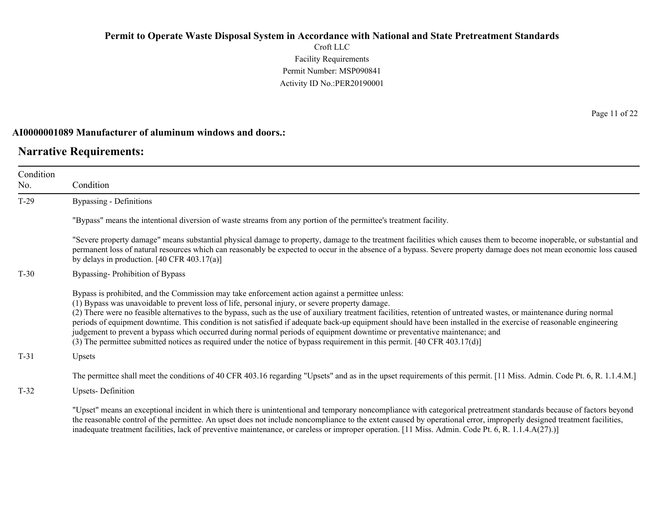Croft LLC Facility Requirements Permit Number: MSP090841 Activity ID No.:PER20190001

#### **AI0000001089 Manufacturer of aluminum windows and doors.:**

## **Narrative Requirements:**

Condition No. Condition T-29 Bypassing - Definitions "Bypass" means the intentional diversion of waste streams from any portion of the permittee's treatment facility. "Severe property damage" means substantial physical damage to property, damage to the treatment facilities which causes them to become inoperable, or substantial and permanent loss of natural resources which can reasonably be expected to occur in the absence of a bypass. Severe property damage does not mean economic loss caused by delays in production. [40 CFR 403.17(a)] T-30 Bypassing- Prohibition of Bypass Bypass is prohibited, and the Commission may take enforcement action against a permittee unless: (1) Bypass was unavoidable to prevent loss of life, personal injury, or severe property damage. (2) There were no feasible alternatives to the bypass, such as the use of auxiliary treatment facilities, retention of untreated wastes, or maintenance during normal periods of equipment downtime. This condition is not satisfied if adequate back-up equipment should have been installed in the exercise of reasonable engineering judgement to prevent a bypass which occurred during normal periods of equipment downtime or preventative maintenance; and (3) The permittee submitted notices as required under the notice of bypass requirement in this permit. [40 CFR 403.17(d)] T-31 Upsets The permittee shall meet the conditions of 40 CFR 403.16 regarding "Upsets" and as in the upset requirements of this permit. [11 Miss. Admin. Code Pt. 6, R. 1.1.4.M.] T-32 Upsets- Definition

"Upset" means an exceptional incident in which there is unintentional and temporary noncompliance with categorical pretreatment standards because of factors beyond the reasonable control of the permittee. An upset does not include noncompliance to the extent caused by operational error, improperly designed treatment facilities, inadequate treatment facilities, lack of preventive maintenance, or careless or improper operation. [11 Miss. Admin. Code Pt. 6, R. 1.1.4.A(27).)]

Page 11 of 22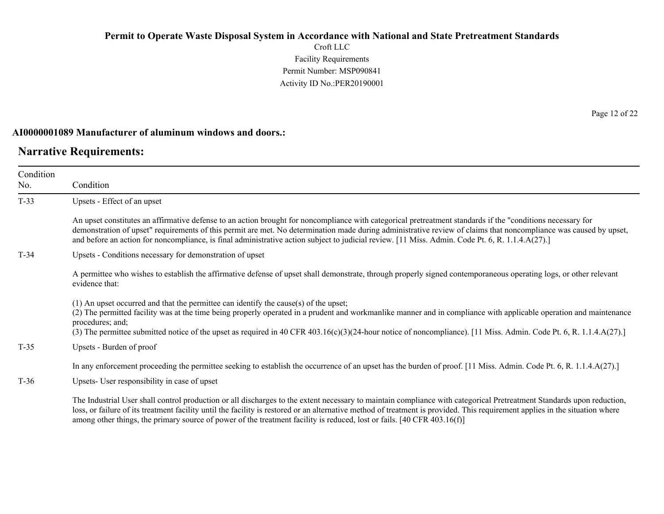Croft LLC Facility Requirements Permit Number: MSP090841 Activity ID No.:PER20190001

#### **AI0000001089 Manufacturer of aluminum windows and doors.:**

## **Narrative Requirements:**

No.

Condition Condition T-33 Upsets - Effect of an upset An upset constitutes an affirmative defense to an action brought for noncompliance with categorical pretreatment standards if the "conditions necessary for demonstration of upset" requirements of this permit are met. No determination made during administrative review of claims that noncompliance was caused by upset, and before an action for noncompliance, is final administrative action subject to judicial review. [11 Miss. Admin. Code Pt. 6, R. 1.1.4.A(27).] T-34 Upsets - Conditions necessary for demonstration of upset A permittee who wishes to establish the affirmative defense of upset shall demonstrate, through properly signed contemporaneous operating logs, or other relevant evidence that: (1) An upset occurred and that the permittee can identify the cause(s) of the upset; (2) The permitted facility was at the time being properly operated in a prudent and workmanlike manner and in compliance with applicable operation and maintenance procedures; and; (3) The permittee submitted notice of the upset as required in 40 CFR 403.16(c)(3)(24-hour notice of noncompliance). [11 Miss. Admin. Code Pt. 6, R. 1.1.4.A(27).] T-35 Upsets - Burden of proof

In any enforcement proceeding the permittee seeking to establish the occurrence of an upset has the burden of proof. [11 Miss. Admin. Code Pt. 6, R. 1.1.4.A(27).]

T-36 Upsets- User responsibility in case of upset

The Industrial User shall control production or all discharges to the extent necessary to maintain compliance with categorical Pretreatment Standards upon reduction, loss, or failure of its treatment facility until the facility is restored or an alternative method of treatment is provided. This requirement applies in the situation where among other things, the primary source of power of the treatment facility is reduced, lost or fails. [40 CFR 403.16(f)]

Page 12 of 22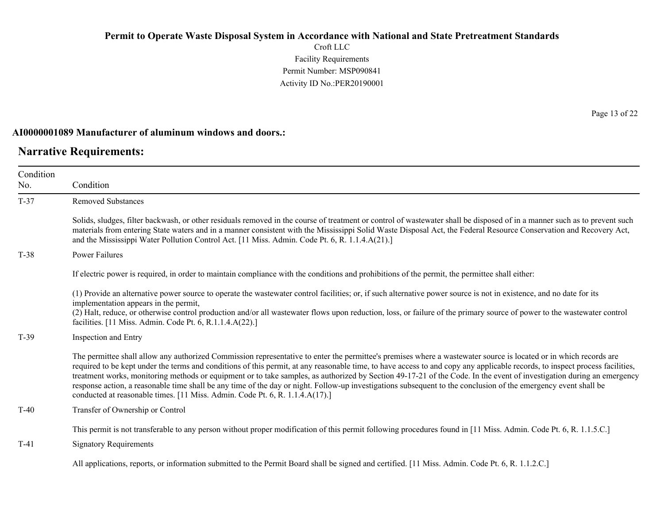Croft LLC Facility Requirements Permit Number: MSP090841 Activity ID No.:PER20190001

### **AI0000001089 Manufacturer of aluminum windows and doors.:**

# **Narrative Requirements:**

Page 13 of 22

| Condition<br>No. | Condition                                                                                                                                                                                                                                                                                                                                                                                                                                                                                                                                                                                                                                                                                                                                                                     |
|------------------|-------------------------------------------------------------------------------------------------------------------------------------------------------------------------------------------------------------------------------------------------------------------------------------------------------------------------------------------------------------------------------------------------------------------------------------------------------------------------------------------------------------------------------------------------------------------------------------------------------------------------------------------------------------------------------------------------------------------------------------------------------------------------------|
| $T-37$           | <b>Removed Substances</b>                                                                                                                                                                                                                                                                                                                                                                                                                                                                                                                                                                                                                                                                                                                                                     |
|                  | Solids, sludges, filter backwash, or other residuals removed in the course of treatment or control of wastewater shall be disposed of in a manner such as to prevent such<br>materials from entering State waters and in a manner consistent with the Mississippi Solid Waste Disposal Act, the Federal Resource Conservation and Recovery Act,<br>and the Mississippi Water Pollution Control Act. [11 Miss. Admin. Code Pt. 6, R. 1.1.4.A(21).]                                                                                                                                                                                                                                                                                                                             |
| $T-38$           | <b>Power Failures</b>                                                                                                                                                                                                                                                                                                                                                                                                                                                                                                                                                                                                                                                                                                                                                         |
|                  | If electric power is required, in order to maintain compliance with the conditions and prohibitions of the permit, the permittee shall either:                                                                                                                                                                                                                                                                                                                                                                                                                                                                                                                                                                                                                                |
|                  | (1) Provide an alternative power source to operate the wastewater control facilities; or, if such alternative power source is not in existence, and no date for its<br>implementation appears in the permit,<br>(2) Halt, reduce, or otherwise control production and/or all wastewater flows upon reduction, loss, or failure of the primary source of power to the wastewater control<br>facilities. [11 Miss. Admin. Code Pt. 6, R.1.1.4.A(22).]                                                                                                                                                                                                                                                                                                                           |
| $T-39$           | Inspection and Entry                                                                                                                                                                                                                                                                                                                                                                                                                                                                                                                                                                                                                                                                                                                                                          |
|                  | The permittee shall allow any authorized Commission representative to enter the permittee's premises where a wastewater source is located or in which records are<br>required to be kept under the terms and conditions of this permit, at any reasonable time, to have access to and copy any applicable records, to inspect process facilities,<br>treatment works, monitoring methods or equipment or to take samples, as authorized by Section 49-17-21 of the Code. In the event of investigation during an emergency<br>response action, a reasonable time shall be any time of the day or night. Follow-up investigations subsequent to the conclusion of the emergency event shall be<br>conducted at reasonable times. [11 Miss. Admin. Code Pt. 6, R. 1.1.4.A(17).] |
| $T-40$           | Transfer of Ownership or Control                                                                                                                                                                                                                                                                                                                                                                                                                                                                                                                                                                                                                                                                                                                                              |
|                  | This permit is not transferable to any person without proper modification of this permit following procedures found in [11 Miss. Admin. Code Pt. 6, R. 1.1.5.C.]                                                                                                                                                                                                                                                                                                                                                                                                                                                                                                                                                                                                              |
| $T-41$           | <b>Signatory Requirements</b>                                                                                                                                                                                                                                                                                                                                                                                                                                                                                                                                                                                                                                                                                                                                                 |
|                  | All applications, reports, or information submitted to the Permit Board shall be signed and certified. [11 Miss. Admin. Code Pt. 6, R. 1.1.2.C.]                                                                                                                                                                                                                                                                                                                                                                                                                                                                                                                                                                                                                              |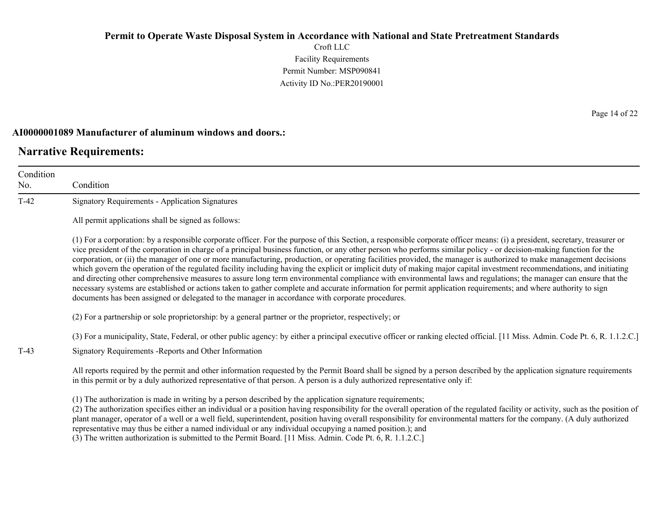Croft LLC Facility Requirements Permit Number: MSP090841 Activity ID No.:PER20190001

#### **AI0000001089 Manufacturer of aluminum windows and doors.:**

# **Narrative Requirements:**

Condition No. Condition T-42 Signatory Requirements - Application Signatures All permit applications shall be signed as follows: (1) For a corporation: by a responsible corporate officer. For the purpose of this Section, a responsible corporate officer means: (i) a president, secretary, treasurer or vice president of the corporation in charge of a principal business function, or any other person who performs similar policy - or decision-making function for the corporation, or (ii) the manager of one or more manufacturing, production, or operating facilities provided, the manager is authorized to make management decisions which govern the operation of the regulated facility including having the explicit or implicit duty of making major capital investment recommendations, and initiating and directing other comprehensive measures to assure long term environmental compliance with environmental laws and regulations; the manager can ensure that the necessary systems are established or actions taken to gather complete and accurate information for permit application requirements; and where authority to sign documents has been assigned or delegated to the manager in accordance with corporate procedures. (2) For a partnership or sole proprietorship: by a general partner or the proprietor, respectively; or (3) For a municipality, State, Federal, or other public agency: by either a principal executive officer or ranking elected official. [11 Miss. Admin. Code Pt. 6, R. 1.1.2.C.] T-43 Signatory Requirements -Reports and Other Information All reports required by the permit and other information requested by the Permit Board shall be signed by a person described by the application signature requirements in this permit or by a duly authorized representative of that person. A person is a duly authorized representative only if: (1) The authorization is made in writing by a person described by the application signature requirements; (2) The authorization specifies either an individual or a position having responsibility for the overall operation of the regulated facility or activity, such as the position of plant manager, operator of a well or a well field, superintendent, position having overall responsibility for environmental matters for the company. (A duly authorized

representative may thus be either a named individual or any individual occupying a named position.); and

(3) The written authorization is submitted to the Permit Board. [11 Miss. Admin. Code Pt. 6, R. 1.1.2.C.]

Page 14 of 22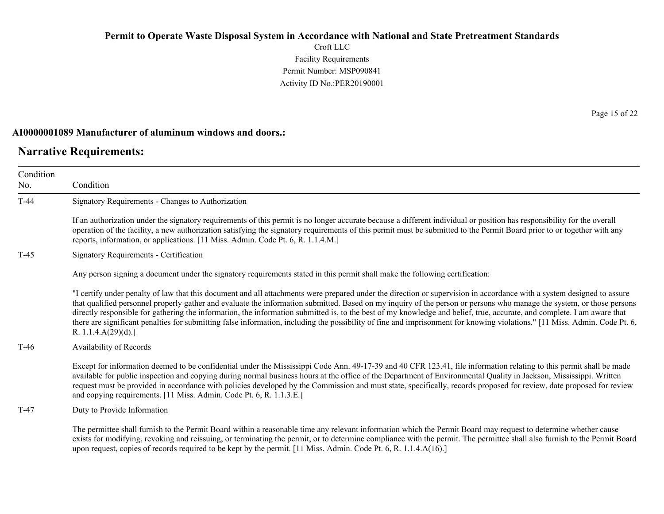Croft LLC Facility Requirements Permit Number: MSP090841 Activity ID No.:PER20190001

#### **AI0000001089 Manufacturer of aluminum windows and doors.:**

## **Narrative Requirements:**

Condition No. Condition T-44 Signatory Requirements - Changes to Authorization If an authorization under the signatory requirements of this permit is no longer accurate because a different individual or position has responsibility for the overall operation of the facility, a new authorization satisfying the signatory requirements of this permit must be submitted to the Permit Board prior to or together with any reports, information, or applications. [11 Miss. Admin. Code Pt. 6, R. 1.1.4.M.] T-45 Signatory Requirements - Certification Any person signing a document under the signatory requirements stated in this permit shall make the following certification: "I certify under penalty of law that this document and all attachments were prepared under the direction or supervision in accordance with a system designed to assure that qualified personnel properly gather and evaluate the information submitted. Based on my inquiry of the person or persons who manage the system, or those persons directly responsible for gathering the information, the information submitted is, to the best of my knowledge and belief, true, accurate, and complete. I am aware that there are significant penalties for submitting false information, including the possibility of fine and imprisonment for knowing violations." [11 Miss. Admin. Code Pt. 6, R. 1.1.4.A(29)(d).] T-46 Availability of Records Except for information deemed to be confidential under the Mississippi Code Ann. 49-17-39 and 40 CFR 123.41, file information relating to this permit shall be made available for public inspection and copying during normal business hours at the office of the Department of Environmental Quality in Jackson, Mississippi. Written request must be provided in accordance with policies developed by the Commission and must state, specifically, records proposed for review, date proposed for review and copying requirements. [11 Miss. Admin. Code Pt. 6, R. 1.1.3.E.] T-47 Duty to Provide Information The permittee shall furnish to the Permit Board within a reasonable time any relevant information which the Permit Board may request to determine whether cause exists for modifying, revoking and reissuing, or terminating the permit, or to determine compliance with the permit. The permittee shall also furnish to the Permit Board upon request, copies of records required to be kept by the permit. [11 Miss. Admin. Code Pt. 6, R. 1.1.4.A(16).]

Page 15 of 22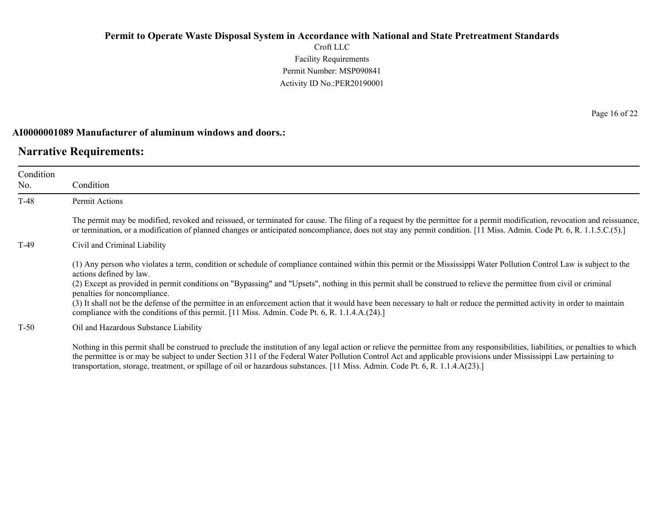Croft LLC Facility Requirements Permit Number: MSP090841 Activity ID No.:PER20190001

### **AI0000001089 Manufacturer of aluminum windows and doors.:**

# **Narrative Requirements:**

| Condition<br>No. | Condition                                                                                                                                                                                                                                                                                                                                                                                                                                                                                                                                                                                                                                                                            |
|------------------|--------------------------------------------------------------------------------------------------------------------------------------------------------------------------------------------------------------------------------------------------------------------------------------------------------------------------------------------------------------------------------------------------------------------------------------------------------------------------------------------------------------------------------------------------------------------------------------------------------------------------------------------------------------------------------------|
| T-48             | <b>Permit Actions</b>                                                                                                                                                                                                                                                                                                                                                                                                                                                                                                                                                                                                                                                                |
|                  | The permit may be modified, revoked and reissued, or terminated for cause. The filing of a request by the permittee for a permit modification, revocation and reissuance,<br>or termination, or a modification of planned changes or anticipated noncompliance, does not stay any permit condition. [11 Miss. Admin. Code Pt. 6, R. 1.1.5.C.(5).]                                                                                                                                                                                                                                                                                                                                    |
| T-49             | Civil and Criminal Liability                                                                                                                                                                                                                                                                                                                                                                                                                                                                                                                                                                                                                                                         |
|                  | (1) Any person who violates a term, condition or schedule of compliance contained within this permit or the Mississippi Water Pollution Control Law is subject to the<br>actions defined by law.<br>(2) Except as provided in permit conditions on "Bypassing" and "Upsets", nothing in this permit shall be construed to relieve the permittee from civil or criminal<br>penalties for noncompliance.<br>(3) It shall not be the defense of the permittee in an enforcement action that it would have been necessary to halt or reduce the permitted activity in order to maintain<br>compliance with the conditions of this permit. [11 Miss. Admin. Code Pt. 6, R. 1.1.4.A.(24).] |
| $T-50$           | Oil and Hazardous Substance Liability                                                                                                                                                                                                                                                                                                                                                                                                                                                                                                                                                                                                                                                |
|                  | Nothing in this permit shall be construed to preclude the institution of any legal action or relieve the permittee from any responsibilities, liabilities, or penalties to which<br>the nomittee is an user be subject to under Cestion 211 of the Eadam Water Dellution Control Ast and analizable maggierations under Meciniari Law nominima to                                                                                                                                                                                                                                                                                                                                    |

the permittee is or may be subject to under Section 311 of the Federal Water Pollution Control Act and applicable provisions under Mississippi Law pertaining to transportation, storage, treatment, or spillage of oil or hazardous substances. [11 Miss. Admin. Code Pt. 6, R. 1.1.4.A(23).]

Page 16 of 22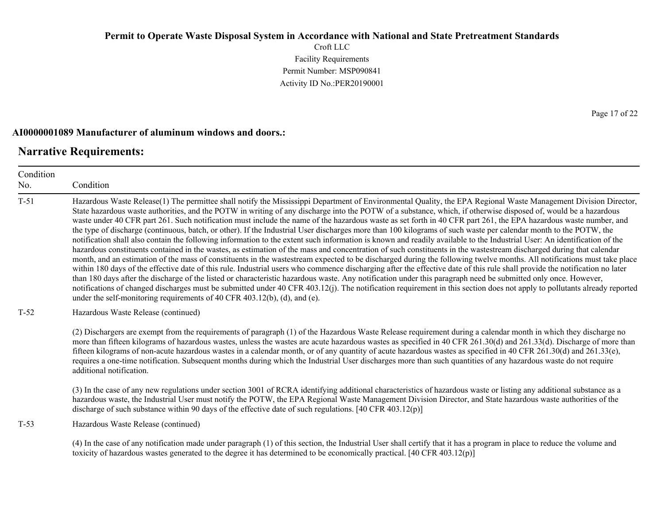Croft LLC Facility Requirements Permit Number: MSP090841 Activity ID No.:PER20190001

# **AI0000001089 Manufacturer of aluminum windows and doors.:**

# **Narrative Requirements:**

| Condition<br>No. | Condition                                                                                                                                                                                                                                                                                                                                                                                                                                                                                                                                                                                                                                                                                                                                                                                                                                                                                                                                                                                                                                                                                                                                                                                                                                                                                                                                                                                                                                                                                                                                                                                                                                                                                                                                                                                                          |  |  |
|------------------|--------------------------------------------------------------------------------------------------------------------------------------------------------------------------------------------------------------------------------------------------------------------------------------------------------------------------------------------------------------------------------------------------------------------------------------------------------------------------------------------------------------------------------------------------------------------------------------------------------------------------------------------------------------------------------------------------------------------------------------------------------------------------------------------------------------------------------------------------------------------------------------------------------------------------------------------------------------------------------------------------------------------------------------------------------------------------------------------------------------------------------------------------------------------------------------------------------------------------------------------------------------------------------------------------------------------------------------------------------------------------------------------------------------------------------------------------------------------------------------------------------------------------------------------------------------------------------------------------------------------------------------------------------------------------------------------------------------------------------------------------------------------------------------------------------------------|--|--|
| $T-51$           | Hazardous Waste Release(1) The permittee shall notify the Mississippi Department of Environmental Quality, the EPA Regional Waste Management Division Director,<br>State hazardous waste authorities, and the POTW in writing of any discharge into the POTW of a substance, which, if otherwise disposed of, would be a hazardous<br>waste under 40 CFR part 261. Such notification must include the name of the hazardous waste as set forth in 40 CFR part 261, the EPA hazardous waste number, and<br>the type of discharge (continuous, batch, or other). If the Industrial User discharges more than 100 kilograms of such waste per calendar month to the POTW, the<br>notification shall also contain the following information to the extent such information is known and readily available to the Industrial User: An identification of the<br>hazardous constituents contained in the wastes, as estimation of the mass and concentration of such constituents in the wastestream discharged during that calendar<br>month, and an estimation of the mass of constituents in the wastestream expected to be discharged during the following twelve months. All notifications must take place<br>within 180 days of the effective date of this rule. Industrial users who commence discharging after the effective date of this rule shall provide the notification no later<br>than 180 days after the discharge of the listed or characteristic hazardous waste. Any notification under this paragraph need be submitted only once. However,<br>notifications of changed discharges must be submitted under 40 CFR 403.12(j). The notification requirement in this section does not apply to pollutants already reported<br>under the self-monitoring requirements of 40 CFR 403.12(b), (d), and (e). |  |  |
| $T-52$           | Hazardous Waste Release (continued)                                                                                                                                                                                                                                                                                                                                                                                                                                                                                                                                                                                                                                                                                                                                                                                                                                                                                                                                                                                                                                                                                                                                                                                                                                                                                                                                                                                                                                                                                                                                                                                                                                                                                                                                                                                |  |  |
|                  | (2) Dischargers are exempt from the requirements of paragraph (1) of the Hazardous Waste Release requirement during a calendar month in which they discharge no<br>more than fifteen kilograms of hazardous wastes, unless the wastes are acute hazardous wastes as specified in 40 CFR 261.30(d) and 261.33(d). Discharge of more than<br>fifteen kilograms of non-acute hazardous wastes in a calendar month, or of any quantity of acute hazardous wastes as specified in 40 CFR 261.30(d) and 261.33(e),<br>requires a one-time notification. Subsequent months during which the Industrial User discharges more than such quantities of any hazardous waste do not require<br>additional notification.                                                                                                                                                                                                                                                                                                                                                                                                                                                                                                                                                                                                                                                                                                                                                                                                                                                                                                                                                                                                                                                                                                        |  |  |
|                  | (3) In the case of any new regulations under section 3001 of RCRA identifying additional characteristics of hazardous waste or listing any additional substance as a<br>hazardous waste, the Industrial User must notify the POTW, the EPA Regional Waste Management Division Director, and State hazardous waste authorities of the<br>discharge of such substance within 90 days of the effective date of such regulations. $[40 \text{ CFR } 403.12(p)]$                                                                                                                                                                                                                                                                                                                                                                                                                                                                                                                                                                                                                                                                                                                                                                                                                                                                                                                                                                                                                                                                                                                                                                                                                                                                                                                                                        |  |  |
| $T-53$           | Hazardous Waste Release (continued)                                                                                                                                                                                                                                                                                                                                                                                                                                                                                                                                                                                                                                                                                                                                                                                                                                                                                                                                                                                                                                                                                                                                                                                                                                                                                                                                                                                                                                                                                                                                                                                                                                                                                                                                                                                |  |  |
|                  | (4) In the case of any notification made under paragraph (1) of this section, the Industrial User shall certify that it has a program in place to reduce the volume and<br>toxicity of hazardous wastes generated to the degree it has determined to be economically practical. [40 CFR 403.12(p)]                                                                                                                                                                                                                                                                                                                                                                                                                                                                                                                                                                                                                                                                                                                                                                                                                                                                                                                                                                                                                                                                                                                                                                                                                                                                                                                                                                                                                                                                                                                 |  |  |

Page 17 of 22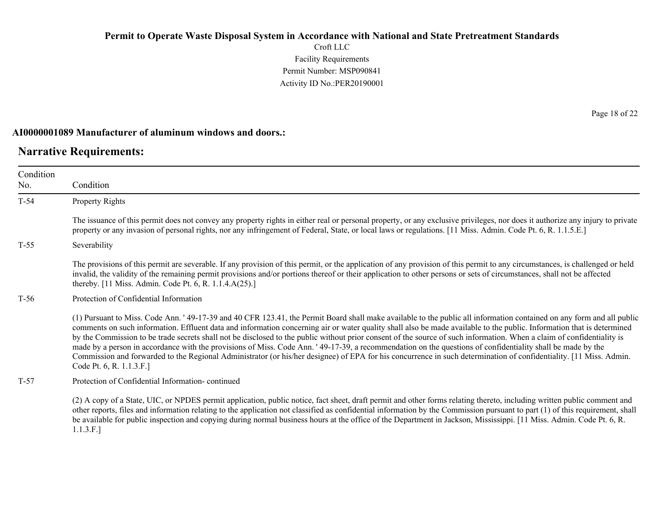Croft LLC Facility Requirements Permit Number: MSP090841 Activity ID No.:PER20190001

#### **AI0000001089 Manufacturer of aluminum windows and doors.:**

## **Narrative Requirements:**

Condition No. Condition T-54 Property Rights The issuance of this permit does not convey any property rights in either real or personal property, or any exclusive privileges, nor does it authorize any injury to private property or any invasion of personal rights, nor any infringement of Federal, State, or local laws or regulations. [11 Miss. Admin. Code Pt. 6, R. 1.1.5.E.] T-55 Severability The provisions of this permit are severable. If any provision of this permit, or the application of any provision of this permit to any circumstances, is challenged or held invalid, the validity of the remaining permit provisions and/or portions thereof or their application to other persons or sets of circumstances, shall not be affected thereby. [11 Miss. Admin. Code Pt. 6, R. 1.1.4.A(25).] T-56 Protection of Confidential Information (1) Pursuant to Miss. Code Ann. ' 49-17-39 and 40 CFR 123.41, the Permit Board shall make available to the public all information contained on any form and all public comments on such information. Effluent data and information concerning air or water quality shall also be made available to the public. Information that is determined by the Commission to be trade secrets shall not be disclosed to the public without prior consent of the source of such information. When a claim of confidentiality is made by a person in accordance with the provisions of Miss. Code Ann. ' 49-17-39, a recommendation on the questions of confidentiality shall be made by the Commission and forwarded to the Regional Administrator (or his/her designee) of EPA for his concurrence in such determination of confidentiality. [11 Miss. Admin. Code Pt. 6, R. 1.1.3.F.] T-57 Protection of Confidential Information- continued (2) A copy of a State, UIC, or NPDES permit application, public notice, fact sheet, draft permit and other forms relating thereto, including written public comment and

other reports, files and information relating to the application not classified as confidential information by the Commission pursuant to part (1) of this requirement, shall be available for public inspection and copying during normal business hours at the office of the Department in Jackson, Mississippi. [11 Miss. Admin. Code Pt. 6, R. 1.1.3.F.]

Page 18 of 22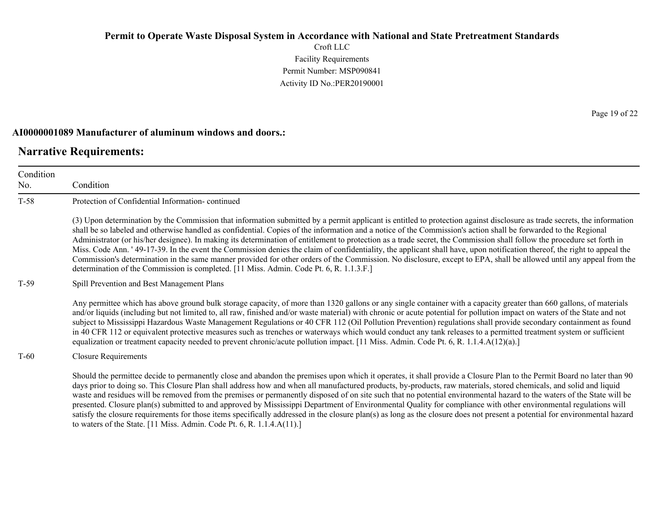Croft LLC Facility Requirements Permit Number: MSP090841 Activity ID No.:PER20190001

### **AI0000001089 Manufacturer of aluminum windows and doors.:**

to waters of the State. [11 Miss. Admin. Code Pt. 6, R. 1.1.4.A(11).]

## **Narrative Requirements:**

Condition No. Condition T-58 Protection of Confidential Information- continued (3) Upon determination by the Commission that information submitted by a permit applicant is entitled to protection against disclosure as trade secrets, the information shall be so labeled and otherwise handled as confidential. Copies of the information and a notice of the Commission's action shall be forwarded to the Regional Administrator (or his/her designee). In making its determination of entitlement to protection as a trade secret, the Commission shall follow the procedure set forth in Miss. Code Ann. ' 49-17-39. In the event the Commission denies the claim of confidentiality, the applicant shall have, upon notification thereof, the right to appeal the Commission's determination in the same manner provided for other orders of the Commission. No disclosure, except to EPA, shall be allowed until any appeal from the determination of the Commission is completed. [11 Miss. Admin. Code Pt. 6, R. 1.1.3.F.] T-59 Spill Prevention and Best Management Plans Any permittee which has above ground bulk storage capacity, of more than 1320 gallons or any single container with a capacity greater than 660 gallons, of materials and/or liquids (including but not limited to, all raw, finished and/or waste material) with chronic or acute potential for pollution impact on waters of the State and not subject to Mississippi Hazardous Waste Management Regulations or 40 CFR 112 (Oil Pollution Prevention) regulations shall provide secondary containment as found in 40 CFR 112 or equivalent protective measures such as trenches or waterways which would conduct any tank releases to a permitted treatment system or sufficient equalization or treatment capacity needed to prevent chronic/acute pollution impact. [11 Miss. Admin. Code Pt. 6, R. 1.1.4.A(12)(a).] T-60 Closure Requirements Should the permittee decide to permanently close and abandon the premises upon which it operates, it shall provide a Closure Plan to the Permit Board no later than 90 days prior to doing so. This Closure Plan shall address how and when all manufactured products, by-products, raw materials, stored chemicals, and solid and liquid waste and residues will be removed from the premises or permanently disposed of on site such that no potential environmental hazard to the waters of the State will be presented. Closure plan(s) submitted to and approved by Mississippi Department of Environmental Quality for compliance with other environmental regulations will satisfy the closure requirements for those items specifically addressed in the closure plan(s) as long as the closure does not present a potential for environmental hazard

Page 19 of 22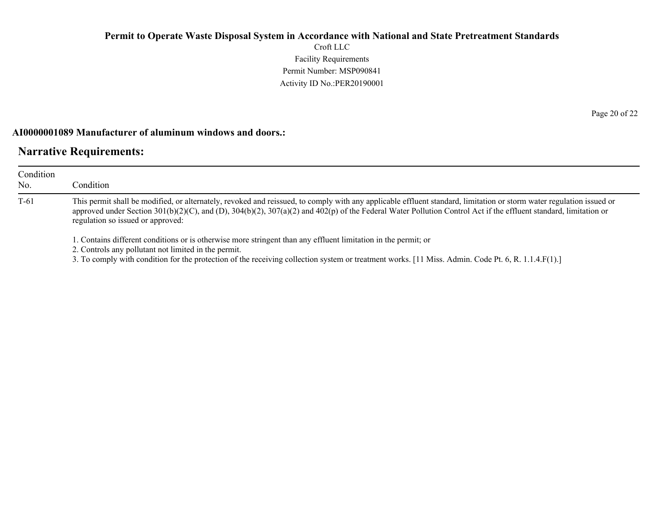Croft LLC Facility Requirements Permit Number: MSP090841 Activity ID No.:PER20190001

### **AI0000001089 Manufacturer of aluminum windows and doors.:**

# **Narrative Requirements:**

| Condition     | Condition                                                                                                                                                                                                                                                                                                                                                                     |
|---------------|-------------------------------------------------------------------------------------------------------------------------------------------------------------------------------------------------------------------------------------------------------------------------------------------------------------------------------------------------------------------------------|
| No.<br>$T-61$ | This permit shall be modified, or alternately, revoked and reissued, to comply with any applicable effluent standard, limitation or storm water regulation issued or<br>approved under Section 301(b)(2)(C), and (D), 304(b)(2), 307(a)(2) and 402(p) of the Federal Water Pollution Control Act if the effluent standard, limitation or<br>regulation so issued or approved: |
|               | 1. Contains different conditions or is otherwise more stringent than any effluent limitation in the permit; or<br>2. Controls any pollutant not limited in the permit.<br>3. To comply with condition for the protection of the receiving collection system or treatment works. [11 Miss. Admin. Code Pt. 6, R. 1.1.4.F(1).]                                                  |

Page 20 of 22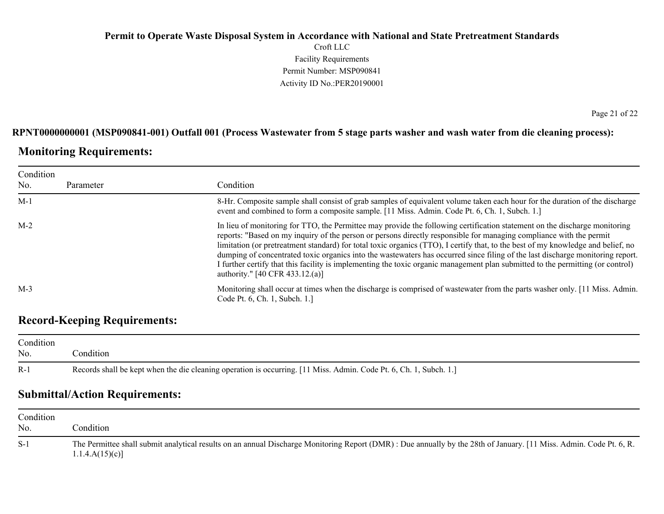## **Permit to Operate Waste Disposal System in Accordance with National and State Pretreatment Standards** Croft LLC Facility Requirements Permit Number: MSP090841 Activity ID No.:PER20190001

### **RPNT0000000001 (MSP090841-001) Outfall 001 (Process Wastewater from 5 stage parts washer and wash water from die cleaning process):**

# **Monitoring Requirements:**

| Condition |           |                                                                                                                                                                                                                                                                                                                                                                                                                                                                                                                                                                                                                                                                                                           |  |
|-----------|-----------|-----------------------------------------------------------------------------------------------------------------------------------------------------------------------------------------------------------------------------------------------------------------------------------------------------------------------------------------------------------------------------------------------------------------------------------------------------------------------------------------------------------------------------------------------------------------------------------------------------------------------------------------------------------------------------------------------------------|--|
| No.       | Parameter | Condition                                                                                                                                                                                                                                                                                                                                                                                                                                                                                                                                                                                                                                                                                                 |  |
| $M-1$     |           | 8-Hr. Composite sample shall consist of grab samples of equivalent volume taken each hour for the duration of the discharge<br>event and combined to form a composite sample. [11 Miss. Admin. Code Pt. 6, Ch. 1, Subch. 1.]                                                                                                                                                                                                                                                                                                                                                                                                                                                                              |  |
| $M-2$     |           | In lieu of monitoring for TTO, the Permittee may provide the following certification statement on the discharge monitoring<br>reports: "Based on my inquiry of the person or persons directly responsible for managing compliance with the permit<br>limitation (or pretreatment standard) for total toxic organics (TTO), I certify that, to the best of my knowledge and belief, no<br>dumping of concentrated toxic organics into the wastewaters has occurred since filing of the last discharge monitoring report.<br>I further certify that this facility is implementing the toxic organic management plan submitted to the permitting (or control)<br>authority." $[40 \text{ CFR } 433.12$ .(a)] |  |
| $M-3$     |           | Monitoring shall occur at times when the discharge is comprised of wastewater from the parts washer only. [11 Miss. Admin.]<br>Code Pt. 6, Ch. 1, Subch. 1.                                                                                                                                                                                                                                                                                                                                                                                                                                                                                                                                               |  |

# **Record-Keeping Requirements:**

| Condition<br>No. | Condition                                                                                                          |  |
|------------------|--------------------------------------------------------------------------------------------------------------------|--|
| $R-1$            | Records shall be kept when the die cleaning operation is occurring. [11 Miss. Admin. Code Pt. 6, Ch. 1, Subch. 1.] |  |

# **Submittal/Action Requirements:**

| Condition<br>No. | condition.                                                                                                                                                                            |
|------------------|---------------------------------------------------------------------------------------------------------------------------------------------------------------------------------------|
| $S-1$            | The Permittee shall submit analytical results on an annual Discharge Monitoring Report (DMR) : Due annually by the 28th of January. [11 Miss. Admin. Code Pt. 6, R.<br>1.1.4.A(15)(c) |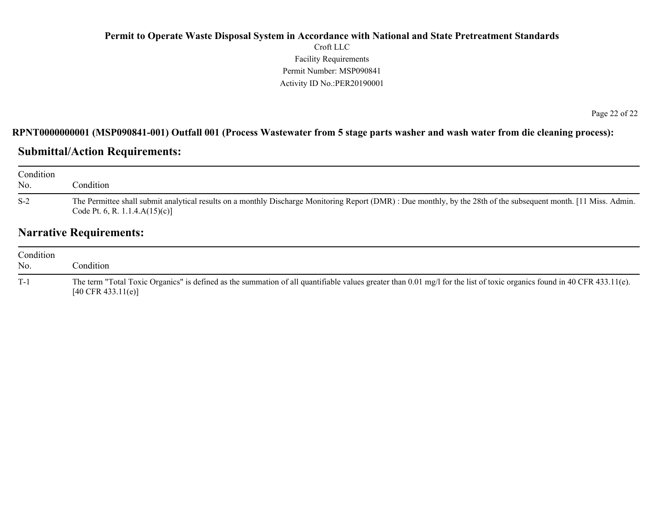## **Permit to Operate Waste Disposal System in Accordance with National and State Pretreatment Standards** Croft LLC Facility Requirements Permit Number: MSP090841 Activity ID No.:PER20190001

Page 22 of 22

### **RPNT0000000001 (MSP090841-001) Outfall 001 (Process Wastewater from 5 stage parts washer and wash water from die cleaning process):**

# **Submittal/Action Requirements:**

| Condition<br>No. | Condition                                                                                                                                                                                               |
|------------------|---------------------------------------------------------------------------------------------------------------------------------------------------------------------------------------------------------|
| $S-2$            | The Permittee shall submit analytical results on a monthly Discharge Monitoring Report (DMR): Due monthly, by the 28th of the subsequent month. [11 Miss. Admin.]<br>Code Pt. 6, R. 1.1.4. $A(15)(c)$ ] |

# **Narrative Requirements:**

| Condition<br>No. | condition.                                                                                                                                                                                               |
|------------------|----------------------------------------------------------------------------------------------------------------------------------------------------------------------------------------------------------|
| $T-1$            | The term "Total Toxic Organics" is defined as the summation of all quantifiable values greater than 0.01 mg/l for the list of toxic organics found in 40 CFR 433.11(e).<br>$[40 \text{ CFR } 433.11(e)]$ |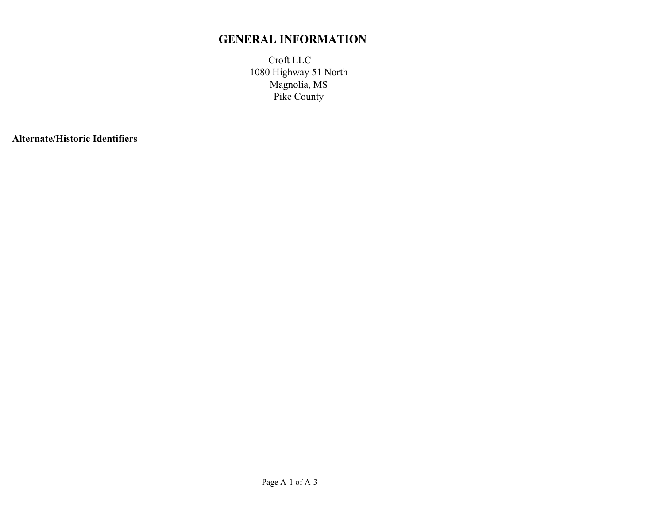# **GENERAL INFORMATION**

Croft LLC Magnolia, MS Pike County 1080 Highway 51 North

**Alternate/Historic Identifiers**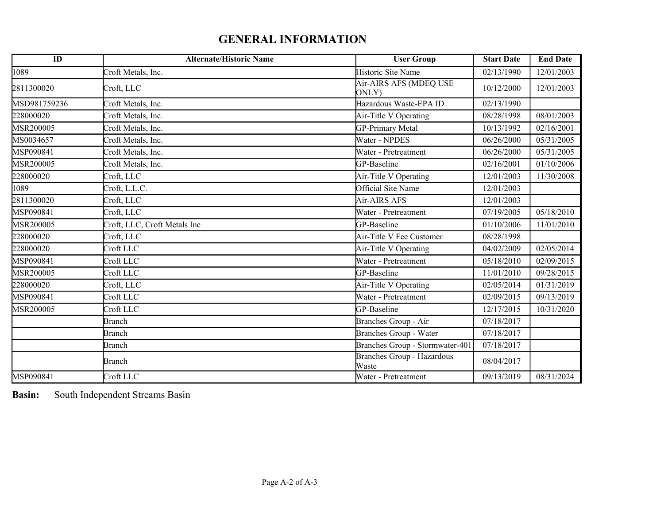# **GENERAL INFORMATION**

| $\overline{ID}$ | <b>Alternate/Historic Name</b> | <b>User Group</b>                          | <b>Start Date</b> | <b>End Date</b> |
|-----------------|--------------------------------|--------------------------------------------|-------------------|-----------------|
| 1089            | Croft Metals, Inc.             | Historic Site Name                         | 02/13/1990        | 12/01/2003      |
| 2811300020      | Croft, LLC                     | Air-AIRS AFS (MDEQ USE<br>ONLY)            | 10/12/2000        | 12/01/2003      |
| MSD981759236    | Croft Metals, Inc.             | Hazardous Waste-EPA ID                     | 02/13/1990        |                 |
| 228000020       | Croft Metals, Inc.             | Air-Title V Operating                      | 08/28/1998        | 08/01/2003      |
| MSR200005       | Croft Metals, Inc.             | GP-Primary Metal                           | 10/13/1992        | 02/16/2001      |
| MS0034657       | Croft Metals, Inc.             | Water - NPDES                              | 06/26/2000        | 05/31/2005      |
| MSP090841       | Croft Metals, Inc.             | Water - Pretreatment                       | 06/26/2000        | 05/31/2005      |
| MSR200005       | Croft Metals, Inc.             | GP-Baseline                                | 02/16/2001        | 01/10/2006      |
| 228000020       | Croft, LLC                     | Air-Title V Operating                      | 12/01/2003        | 11/30/2008      |
| 1089            | Croft, L.L.C.                  | Official Site Name                         | 12/01/2003        |                 |
| 2811300020      | Croft, LLC                     | Air-AIRS AFS                               | 12/01/2003        |                 |
| MSP090841       | Croft, LLC                     | Water - Pretreatment                       | 07/19/2005        | 05/18/2010      |
| MSR200005       | Croft, LLC, Croft Metals Inc   | GP-Baseline                                | 01/10/2006        | 11/01/2010      |
| 228000020       | Croft, LLC                     | Air-Title V Fee Customer                   | 08/28/1998        |                 |
| 228000020       | Croft LLC                      | Air-Title V Operating                      | 04/02/2009        | 02/05/2014      |
| MSP090841       | Croft LLC                      | Water - Pretreatment                       | 05/18/2010        | 02/09/2015      |
| MSR200005       | Croft LLC                      | GP-Baseline                                | 11/01/2010        | 09/28/2015      |
| 228000020       | Croft, LLC                     | Air-Title V Operating                      | 02/05/2014        | 01/31/2019      |
| MSP090841       | Croft LLC                      | Water - Pretreatment                       | 02/09/2015        | 09/13/2019      |
| MSR200005       | Croft LLC                      | GP-Baseline                                | 12/17/2015        | 10/31/2020      |
|                 | <b>Branch</b>                  | Branches Group - Air                       | 07/18/2017        |                 |
|                 | <b>Branch</b>                  | Branches Group - Water                     | 07/18/2017        |                 |
|                 | <b>Branch</b>                  | Branches Group - Stormwater-401            | 07/18/2017        |                 |
|                 | <b>Branch</b>                  | <b>Branches Group - Hazardous</b><br>Waste | 08/04/2017        |                 |
| MSP090841       | Croft LLC                      | Water - Pretreatment                       | 09/13/2019        | 08/31/2024      |

**Basin:** South Independent Streams Basin